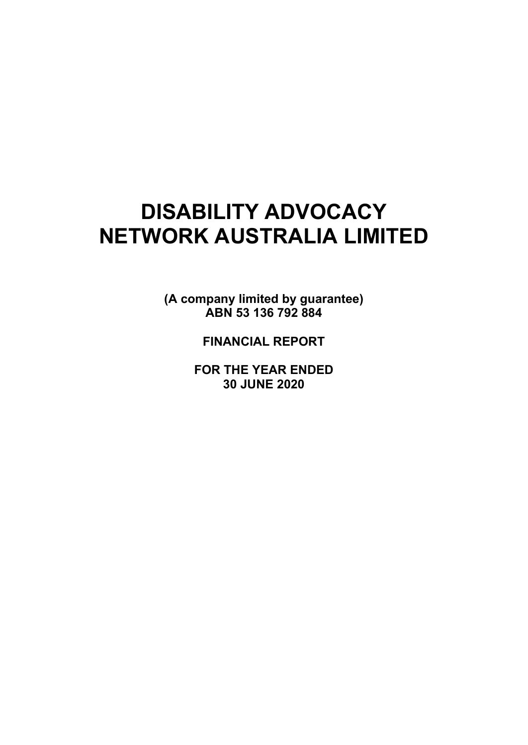# **DISABILITY ADVOCACY NETWORK AUSTRALIA LIMITED**

**(A company limited by guarantee) ABN 53 136 792 884** 

**FINANCIAL REPORT**

**FOR THE YEAR ENDED 30 JUNE 2020**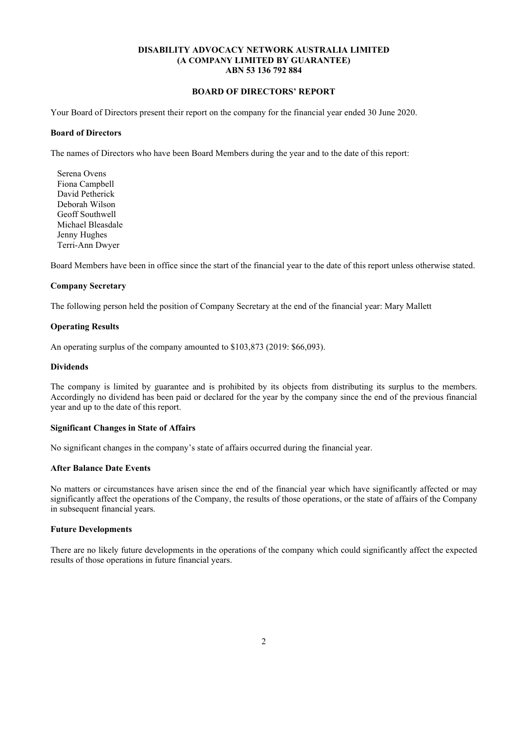#### **BOARD OF DIRECTORS' REPORT**

Your Board of Directors present their report on the company for the financial year ended 30 June 2020.

#### **Board of Directors**

The names of Directors who have been Board Members during the year and to the date of this report:

 Serena Ovens Fiona Campbell David Petherick Deborah Wilson Geoff Southwell Michael Bleasdale Jenny Hughes Terri-Ann Dwyer

Board Members have been in office since the start of the financial year to the date of this report unless otherwise stated.

## **Company Secretary**

The following person held the position of Company Secretary at the end of the financial year: Mary Mallett

## **Operating Results**

An operating surplus of the company amounted to \$103,873 (2019: \$66,093).

#### **Dividends**

The company is limited by guarantee and is prohibited by its objects from distributing its surplus to the members. Accordingly no dividend has been paid or declared for the year by the company since the end of the previous financial year and up to the date of this report.

## **Significant Changes in State of Affairs**

No significant changes in the company's state of affairs occurred during the financial year.

#### **After Balance Date Events**

No matters or circumstances have arisen since the end of the financial year which have significantly affected or may significantly affect the operations of the Company, the results of those operations, or the state of affairs of the Company in subsequent financial years.

## **Future Developments**

There are no likely future developments in the operations of the company which could significantly affect the expected results of those operations in future financial years.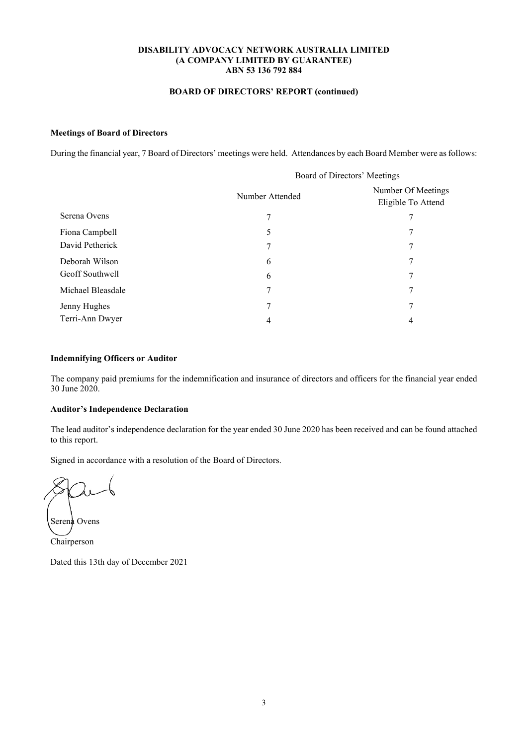## **BOARD OF DIRECTORS' REPORT (continued)**

## **Meetings of Board of Directors**

During the financial year, 7 Board of Directors' meetings were held. Attendances by each Board Member were as follows:

|                   |                 | Board of Directors' Meetings             |
|-------------------|-----------------|------------------------------------------|
|                   | Number Attended | Number Of Meetings<br>Eligible To Attend |
| Serena Ovens      |                 |                                          |
| Fiona Campbell    | 5               |                                          |
| David Petherick   |                 | 7                                        |
| Deborah Wilson    | 6               |                                          |
| Geoff Southwell   | 6               | 7                                        |
| Michael Bleasdale |                 |                                          |
| Jenny Hughes      |                 | 7                                        |
| Terri-Ann Dwyer   |                 | 4                                        |

## **Indemnifying Officers or Auditor**

The company paid premiums for the indemnification and insurance of directors and officers for the financial year ended 30 June 2020.

## **Auditor's Independence Declaration**

The lead auditor's independence declaration for the year ended 30 June 2020 has been received and can be found attached to this report.

Signed in accordance with a resolution of the Board of Directors.

Serena Ovens

Chairperson

Dated this 13th day of December 2021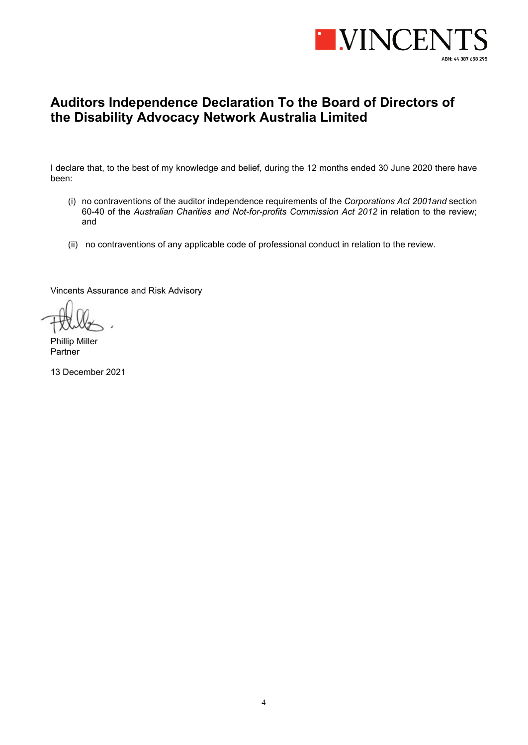

## **Auditors Independence Declaration To the Board of Directors of the Disability Advocacy Network Australia Limited**

I declare that, to the best of my knowledge and belief, during the 12 months ended 30 June 2020 there have been:

- (i) no contraventions of the auditor independence requirements of the *Corporations Act 2001and* section 60-40 of the *Australian Charities and Not-for-profits Commission Act 2012* in relation to the review; and
- (ii) no contraventions of any applicable code of professional conduct in relation to the review.

Vincents Assurance and Risk Advisory

Phillip Miller Partner

13 December 2021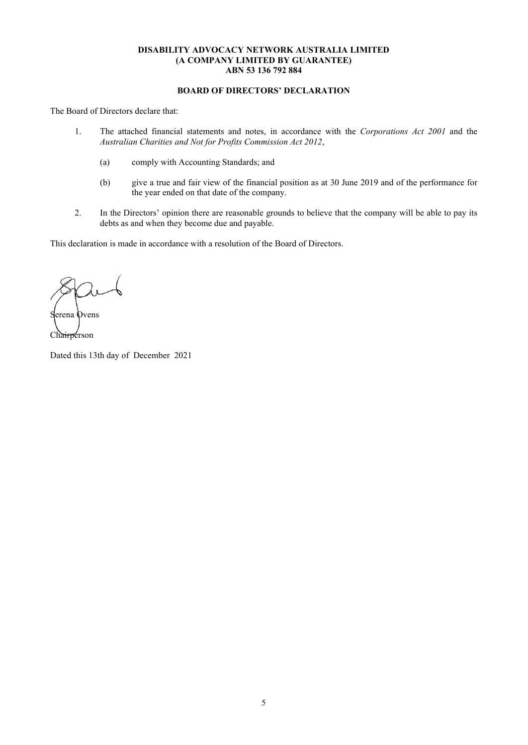## **BOARD OF DIRECTORS' DECLARATION**

The Board of Directors declare that:

- 1. The attached financial statements and notes, in accordance with the *Corporations Act 2001* and the *Australian Charities and Not for Profits Commission Act 2012*,
	- (a) comply with Accounting Standards; and
	- (b) give a true and fair view of the financial position as at 30 June 2019 and of the performance for the year ended on that date of the company.
- 2. In the Directors' opinion there are reasonable grounds to believe that the company will be able to pay its debts as and when they become due and payable.

This declaration is made in accordance with a resolution of the Board of Directors.

erena Ovens Chairperson

Dated this 13th day of December 2021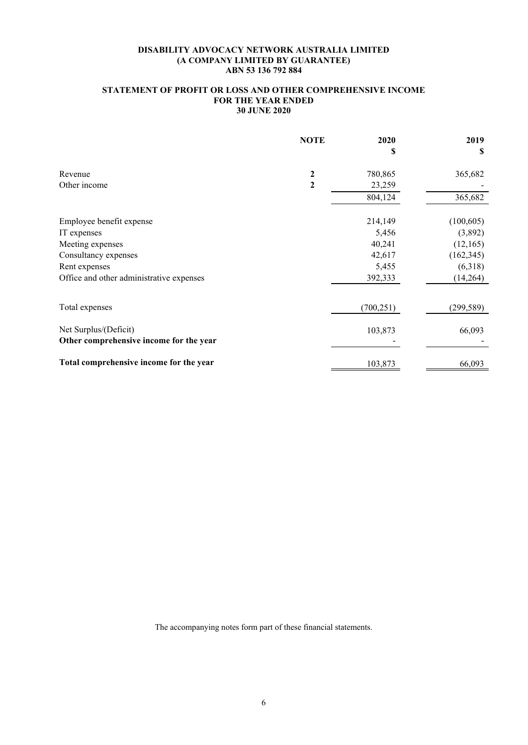## **STATEMENT OF PROFIT OR LOSS AND OTHER COMPREHENSIVE INCOME FOR THE YEAR ENDED 30 JUNE 2020**

|                                                                  | <b>NOTE</b> | 2020       | 2019       |
|------------------------------------------------------------------|-------------|------------|------------|
|                                                                  |             | S          | S          |
| Revenue                                                          | 2           | 780,865    | 365,682    |
| Other income                                                     | 2           | 23,259     |            |
|                                                                  |             | 804,124    | 365,682    |
| Employee benefit expense                                         |             | 214,149    | (100, 605) |
| IT expenses                                                      |             | 5,456      | (3,892)    |
| Meeting expenses                                                 |             | 40,241     | (12,165)   |
| Consultancy expenses                                             |             | 42,617     | (162, 345) |
| Rent expenses                                                    |             | 5,455      | (6,318)    |
| Office and other administrative expenses                         |             | 392,333    | (14,264)   |
| Total expenses                                                   |             | (700, 251) | (299, 589) |
| Net Surplus/(Deficit)<br>Other comprehensive income for the year |             | 103,873    | 66,093     |
| Total comprehensive income for the year                          |             | 103,873    | 66,093     |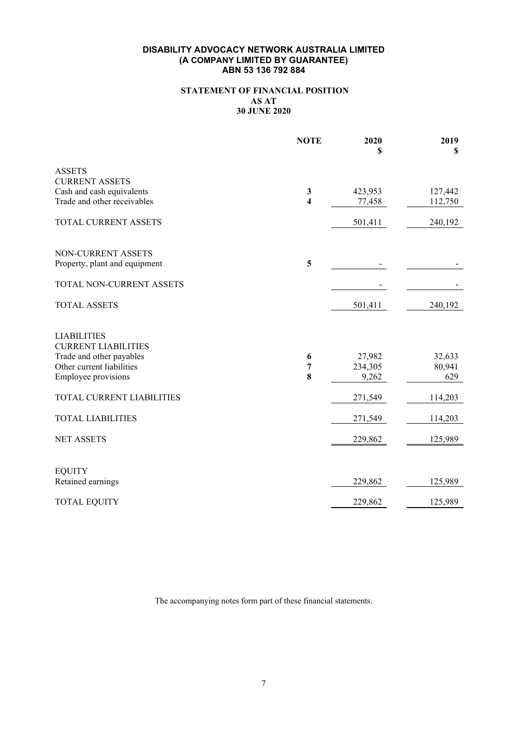## **STATEMENT OF FINANCIAL POSITION AS AT 30 JUNE 2020**

|                                                       | <b>NOTE</b>             | 2020<br>\$       | 2019<br>\$    |
|-------------------------------------------------------|-------------------------|------------------|---------------|
| <b>ASSETS</b><br><b>CURRENT ASSETS</b>                |                         |                  |               |
| Cash and cash equivalents                             | $\mathbf{3}$            | 423,953          | 127,442       |
| Trade and other receivables                           | $\overline{\mathbf{4}}$ | 77,458           | 112,750       |
| TOTAL CURRENT ASSETS                                  |                         | 501,411          | 240,192       |
| NON-CURRENT ASSETS                                    |                         |                  |               |
| Property, plant and equipment                         | 5                       |                  |               |
| TOTAL NON-CURRENT ASSETS                              |                         |                  |               |
| <b>TOTAL ASSETS</b>                                   |                         | 501,411          | 240,192       |
| <b>LIABILITIES</b>                                    |                         |                  |               |
| <b>CURRENT LIABILITIES</b>                            |                         |                  |               |
| Trade and other payables<br>Other current liabilities | 6                       | 27,982           | 32,633        |
| <b>Employee provisions</b>                            | 7<br>8                  | 234,305<br>9,262 | 80,941<br>629 |
| TOTAL CURRENT LIABILITIES                             |                         | 271,549          | 114,203       |
| <b>TOTAL LIABILITIES</b>                              |                         | 271,549          | 114,203       |
| <b>NET ASSETS</b>                                     |                         | 229,862          | 125,989       |
|                                                       |                         |                  |               |
| <b>EQUITY</b>                                         |                         |                  |               |
| Retained earnings                                     |                         | 229,862          | 125,989       |
| <b>TOTAL EQUITY</b>                                   |                         | 229,862          | 125,989       |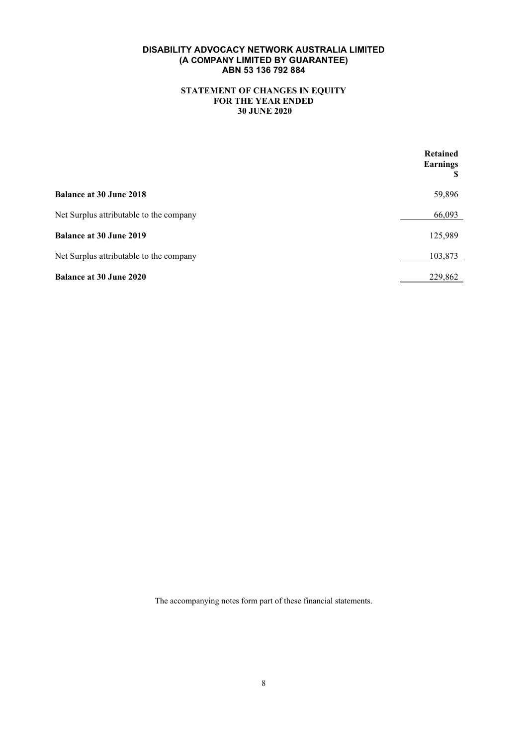## **STATEMENT OF CHANGES IN EQUITY FOR THE YEAR ENDED 30 JUNE 2020**

|                                         | <b>Retained</b><br><b>Earnings</b><br>S |
|-----------------------------------------|-----------------------------------------|
| <b>Balance at 30 June 2018</b>          | 59,896                                  |
| Net Surplus attributable to the company | 66,093                                  |
| <b>Balance at 30 June 2019</b>          | 125,989                                 |
| Net Surplus attributable to the company | 103,873                                 |
| <b>Balance at 30 June 2020</b>          | 229,862                                 |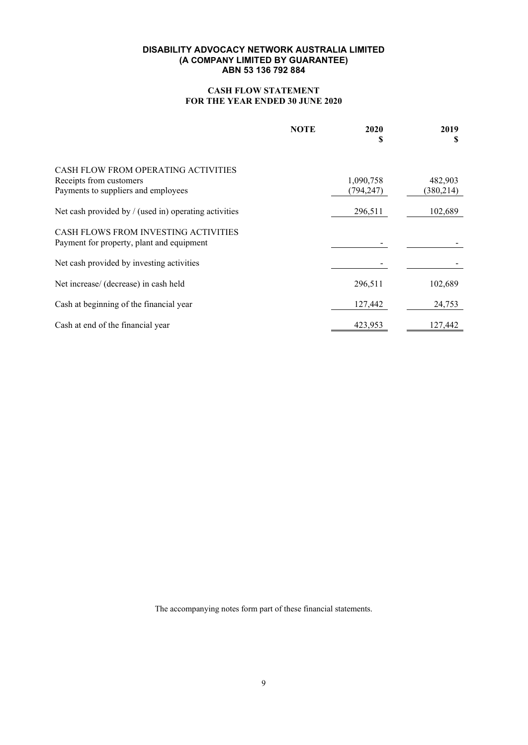## **CASH FLOW STATEMENT FOR THE YEAR ENDED 30 JUNE 2020**

|                                                                                          | <b>NOTE</b> | 2020<br>S              | 2019<br>S            |
|------------------------------------------------------------------------------------------|-------------|------------------------|----------------------|
| CASH FLOW FROM OPERATING ACTIVITIES                                                      |             |                        |                      |
| Receipts from customers<br>Payments to suppliers and employees                           |             | 1,090,758<br>(794,247) | 482,903<br>(380,214) |
| Net cash provided by $/$ (used in) operating activities                                  |             | 296,511                | 102,689              |
| <b>CASH FLOWS FROM INVESTING ACTIVITIES</b><br>Payment for property, plant and equipment |             |                        |                      |
| Net cash provided by investing activities                                                |             |                        |                      |
| Net increase/ (decrease) in cash held                                                    |             | 296,511                | 102,689              |
| Cash at beginning of the financial year                                                  |             | 127,442                | 24,753               |
| Cash at end of the financial year                                                        |             | 423,953                | 127,442              |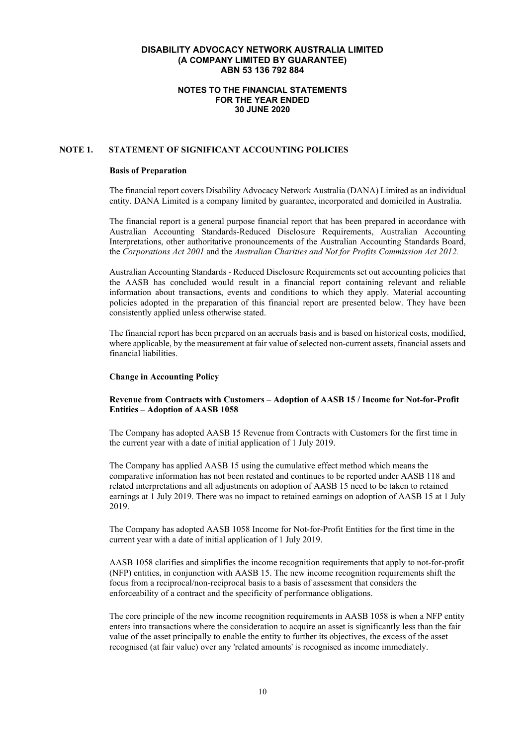#### **NOTES TO THE FINANCIAL STATEMENTS FOR THE YEAR ENDED 30 JUNE 2020**

## **NOTE 1. STATEMENT OF SIGNIFICANT ACCOUNTING POLICIES**

#### **Basis of Preparation**

The financial report covers Disability Advocacy Network Australia (DANA) Limited as an individual entity. DANA Limited is a company limited by guarantee, incorporated and domiciled in Australia.

The financial report is a general purpose financial report that has been prepared in accordance with Australian Accounting Standards-Reduced Disclosure Requirements, Australian Accounting Interpretations, other authoritative pronouncements of the Australian Accounting Standards Board, the *Corporations Act 2001* and the *Australian Charities and Not for Profits Commission Act 2012.*

Australian Accounting Standards - Reduced Disclosure Requirements set out accounting policies that the AASB has concluded would result in a financial report containing relevant and reliable information about transactions, events and conditions to which they apply. Material accounting policies adopted in the preparation of this financial report are presented below. They have been consistently applied unless otherwise stated.

The financial report has been prepared on an accruals basis and is based on historical costs, modified, where applicable, by the measurement at fair value of selected non-current assets, financial assets and financial liabilities.

#### **Change in Accounting Policy**

## **Revenue from Contracts with Customers – Adoption of AASB 15 / Income for Not-for-Profit Entities – Adoption of AASB 1058**

The Company has adopted AASB 15 Revenue from Contracts with Customers for the first time in the current year with a date of initial application of 1 July 2019.

The Company has applied AASB 15 using the cumulative effect method which means the comparative information has not been restated and continues to be reported under AASB 118 and related interpretations and all adjustments on adoption of AASB 15 need to be taken to retained earnings at 1 July 2019. There was no impact to retained earnings on adoption of AASB 15 at 1 July 2019.

The Company has adopted AASB 1058 Income for Not-for-Profit Entities for the first time in the current year with a date of initial application of 1 July 2019.

AASB 1058 clarifies and simplifies the income recognition requirements that apply to not-for-profit (NFP) entities, in conjunction with AASB 15. The new income recognition requirements shift the focus from a reciprocal/non-reciprocal basis to a basis of assessment that considers the enforceability of a contract and the specificity of performance obligations.

The core principle of the new income recognition requirements in AASB 1058 is when a NFP entity enters into transactions where the consideration to acquire an asset is significantly less than the fair value of the asset principally to enable the entity to further its objectives, the excess of the asset recognised (at fair value) over any 'related amounts' is recognised as income immediately.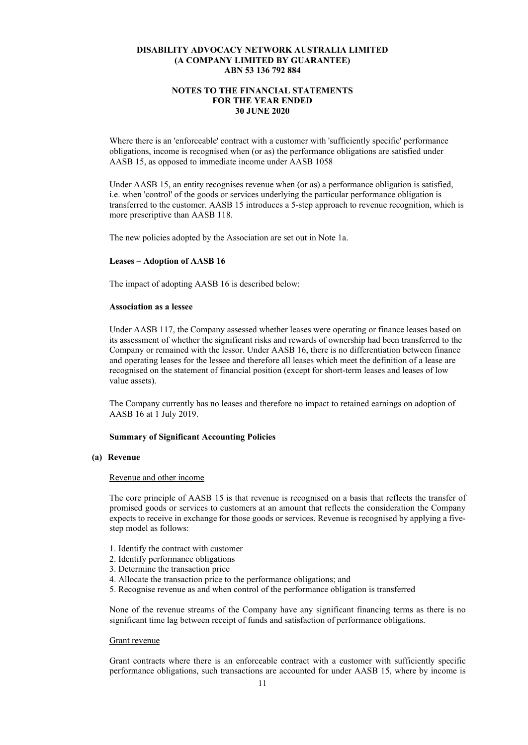## **NOTES TO THE FINANCIAL STATEMENTS FOR THE YEAR ENDED 30 JUNE 2020**

Where there is an 'enforceable' contract with a customer with 'sufficiently specific' performance obligations, income is recognised when (or as) the performance obligations are satisfied under AASB 15, as opposed to immediate income under AASB 1058

Under AASB 15, an entity recognises revenue when (or as) a performance obligation is satisfied, i.e. when 'control' of the goods or services underlying the particular performance obligation is transferred to the customer. AASB 15 introduces a 5-step approach to revenue recognition, which is more prescriptive than AASB 118.

The new policies adopted by the Association are set out in Note 1a.

#### **Leases – Adoption of AASB 16**

The impact of adopting AASB 16 is described below:

#### **Association as a lessee**

Under AASB 117, the Company assessed whether leases were operating or finance leases based on its assessment of whether the significant risks and rewards of ownership had been transferred to the Company or remained with the lessor. Under AASB 16, there is no differentiation between finance and operating leases for the lessee and therefore all leases which meet the definition of a lease are recognised on the statement of financial position (except for short-term leases and leases of low value assets).

The Company currently has no leases and therefore no impact to retained earnings on adoption of AASB 16 at 1 July 2019.

#### **Summary of Significant Accounting Policies**

#### **(a) Revenue**

#### Revenue and other income

The core principle of AASB 15 is that revenue is recognised on a basis that reflects the transfer of promised goods or services to customers at an amount that reflects the consideration the Company expects to receive in exchange for those goods or services. Revenue is recognised by applying a fivestep model as follows:

- 1. Identify the contract with customer
- 2. Identify performance obligations
- 3. Determine the transaction price
- 4. Allocate the transaction price to the performance obligations; and
- 5. Recognise revenue as and when control of the performance obligation is transferred

None of the revenue streams of the Company have any significant financing terms as there is no significant time lag between receipt of funds and satisfaction of performance obligations.

#### Grant revenue

Grant contracts where there is an enforceable contract with a customer with sufficiently specific performance obligations, such transactions are accounted for under AASB 15, where by income is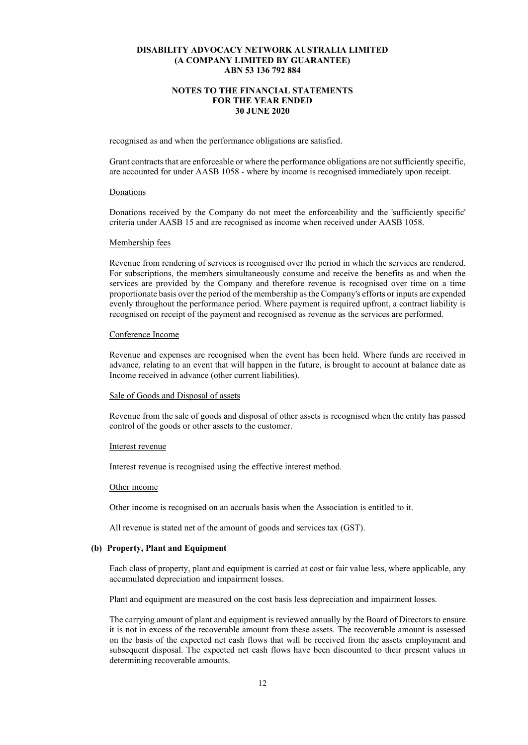## **NOTES TO THE FINANCIAL STATEMENTS FOR THE YEAR ENDED 30 JUNE 2020**

recognised as and when the performance obligations are satisfied.

Grant contracts that are enforceable or where the performance obligations are not sufficiently specific, are accounted for under AASB 1058 - where by income is recognised immediately upon receipt.

#### Donations

Donations received by the Company do not meet the enforceability and the 'sufficiently specific' criteria under AASB 15 and are recognised as income when received under AASB 1058.

#### Membership fees

Revenue from rendering of services is recognised over the period in which the services are rendered. For subscriptions, the members simultaneously consume and receive the benefits as and when the services are provided by the Company and therefore revenue is recognised over time on a time proportionate basis over the period of the membership as the Company's efforts or inputs are expended evenly throughout the performance period. Where payment is required upfront, a contract liability is recognised on receipt of the payment and recognised as revenue as the services are performed.

#### Conference Income

Revenue and expenses are recognised when the event has been held. Where funds are received in advance, relating to an event that will happen in the future, is brought to account at balance date as Income received in advance (other current liabilities).

## Sale of Goods and Disposal of assets

Revenue from the sale of goods and disposal of other assets is recognised when the entity has passed control of the goods or other assets to the customer.

#### Interest revenue

Interest revenue is recognised using the effective interest method.

#### Other income

Other income is recognised on an accruals basis when the Association is entitled to it.

All revenue is stated net of the amount of goods and services tax (GST).

## **(b) Property, Plant and Equipment**

Each class of property, plant and equipment is carried at cost or fair value less, where applicable, any accumulated depreciation and impairment losses.

Plant and equipment are measured on the cost basis less depreciation and impairment losses.

The carrying amount of plant and equipment is reviewed annually by the Board of Directors to ensure it is not in excess of the recoverable amount from these assets. The recoverable amount is assessed on the basis of the expected net cash flows that will be received from the assets employment and subsequent disposal. The expected net cash flows have been discounted to their present values in determining recoverable amounts.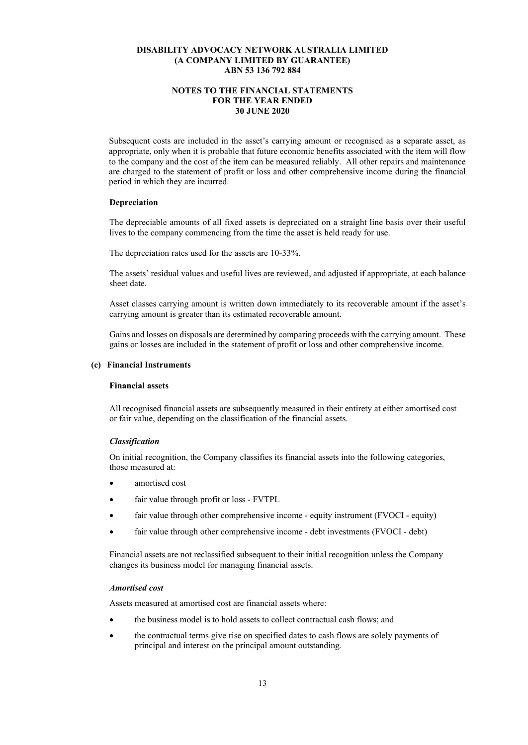## **NOTES TO THE FINANCIAL STATEMENTS FOR THE YEAR ENDED 30 JUNE 2020**

Subsequent costs are included in the asset's carrying amount or recognised as a separate asset, as appropriate, only when it is probable that future economic benefits associated with the item will flow to the company and the cost of the item can be measured reliably. All other repairs and maintenance are charged to the statement of profit or loss and other comprehensive income during the financial period in which they are incurred.

#### **Depreciation**

The depreciable amounts of all fixed assets is depreciated on a straight line basis over their useful lives to the company commencing from the time the asset is held ready for use.

The depreciation rates used for the assets are 10-33%.

The assets' residual values and useful lives are reviewed, and adjusted if appropriate, at each balance sheet date.

Asset classes carrying amount is written down immediately to its recoverable amount if the asset's carrying amount is greater than its estimated recoverable amount.

Gains and losses on disposals are determined by comparing proceeds with the carrying amount. These gains or losses are included in the statement of profit or loss and other comprehensive income.

#### **(c) Financial Instruments**

## **Financial assets**

All recognised financial assets are subsequently measured in their entirety at either amortised cost or fair value, depending on the classification of the financial assets.

#### *Classification*

On initial recognition, the Company classifies its financial assets into the following categories, those measured at:

- amortised cost
- fair value through profit or loss FVTPL
- fair value through other comprehensive income equity instrument (FVOCI equity)
- fair value through other comprehensive income debt investments (FVOCI debt)

Financial assets are not reclassified subsequent to their initial recognition unless the Company changes its business model for managing financial assets.

#### *Amortised cost*

Assets measured at amortised cost are financial assets where:

- the business model is to hold assets to collect contractual cash flows; and
- the contractual terms give rise on specified dates to cash flows are solely payments of principal and interest on the principal amount outstanding.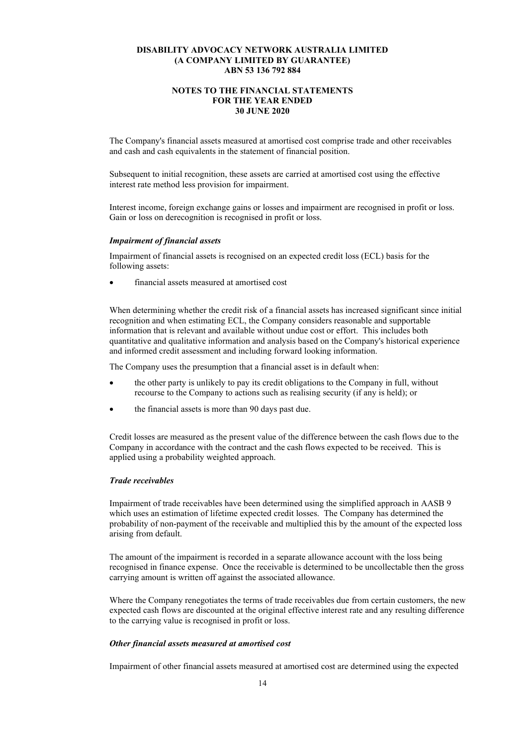## **NOTES TO THE FINANCIAL STATEMENTS FOR THE YEAR ENDED 30 JUNE 2020**

The Company's financial assets measured at amortised cost comprise trade and other receivables and cash and cash equivalents in the statement of financial position.

Subsequent to initial recognition, these assets are carried at amortised cost using the effective interest rate method less provision for impairment.

Interest income, foreign exchange gains or losses and impairment are recognised in profit or loss. Gain or loss on derecognition is recognised in profit or loss.

#### *Impairment of financial assets*

Impairment of financial assets is recognised on an expected credit loss (ECL) basis for the following assets:

• financial assets measured at amortised cost

When determining whether the credit risk of a financial assets has increased significant since initial recognition and when estimating ECL, the Company considers reasonable and supportable information that is relevant and available without undue cost or effort. This includes both quantitative and qualitative information and analysis based on the Company's historical experience and informed credit assessment and including forward looking information.

The Company uses the presumption that a financial asset is in default when:

- the other party is unlikely to pay its credit obligations to the Company in full, without recourse to the Company to actions such as realising security (if any is held); or
- the financial assets is more than 90 days past due.

Credit losses are measured as the present value of the difference between the cash flows due to the Company in accordance with the contract and the cash flows expected to be received. This is applied using a probability weighted approach.

## *Trade receivables*

Impairment of trade receivables have been determined using the simplified approach in AASB 9 which uses an estimation of lifetime expected credit losses. The Company has determined the probability of non-payment of the receivable and multiplied this by the amount of the expected loss arising from default.

The amount of the impairment is recorded in a separate allowance account with the loss being recognised in finance expense. Once the receivable is determined to be uncollectable then the gross carrying amount is written off against the associated allowance.

Where the Company renegotiates the terms of trade receivables due from certain customers, the new expected cash flows are discounted at the original effective interest rate and any resulting difference to the carrying value is recognised in profit or loss.

## *Other financial assets measured at amortised cost*

Impairment of other financial assets measured at amortised cost are determined using the expected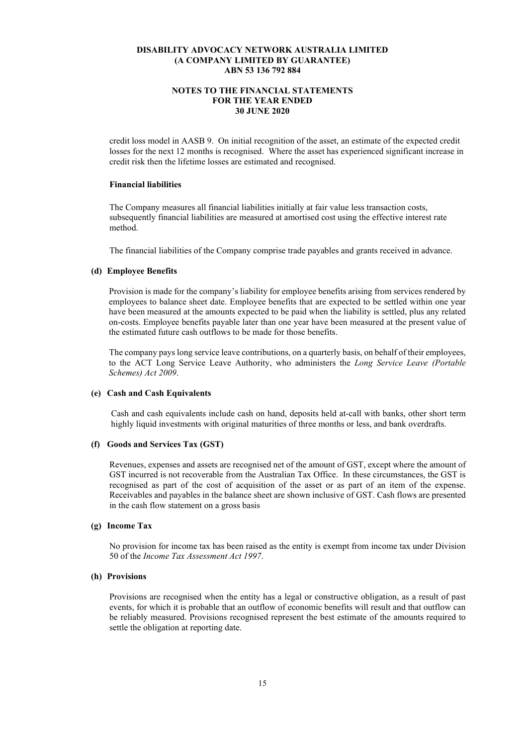## **NOTES TO THE FINANCIAL STATEMENTS FOR THE YEAR ENDED 30 JUNE 2020**

credit loss model in AASB 9. On initial recognition of the asset, an estimate of the expected credit losses for the next 12 months is recognised. Where the asset has experienced significant increase in credit risk then the lifetime losses are estimated and recognised.

## **Financial liabilities**

The Company measures all financial liabilities initially at fair value less transaction costs, subsequently financial liabilities are measured at amortised cost using the effective interest rate method.

The financial liabilities of the Company comprise trade payables and grants received in advance.

## **(d) Employee Benefits**

Provision is made for the company's liability for employee benefits arising from services rendered by employees to balance sheet date. Employee benefits that are expected to be settled within one year have been measured at the amounts expected to be paid when the liability is settled, plus any related on-costs. Employee benefits payable later than one year have been measured at the present value of the estimated future cash outflows to be made for those benefits.

The company pays long service leave contributions, on a quarterly basis, on behalf of their employees, to the ACT Long Service Leave Authority, who administers the *Long Service Leave (Portable Schemes) Act 2009*.

## **(e) Cash and Cash Equivalents**

Cash and cash equivalents include cash on hand, deposits held at-call with banks, other short term highly liquid investments with original maturities of three months or less, and bank overdrafts.

#### **(f) Goods and Services Tax (GST)**

Revenues, expenses and assets are recognised net of the amount of GST, except where the amount of GST incurred is not recoverable from the Australian Tax Office. In these circumstances, the GST is recognised as part of the cost of acquisition of the asset or as part of an item of the expense. Receivables and payables in the balance sheet are shown inclusive of GST. Cash flows are presented in the cash flow statement on a gross basis

## **(g) Income Tax**

No provision for income tax has been raised as the entity is exempt from income tax under Division 50 of the *Income Tax Assessment Act 1997*.

## **(h) Provisions**

Provisions are recognised when the entity has a legal or constructive obligation, as a result of past events, for which it is probable that an outflow of economic benefits will result and that outflow can be reliably measured. Provisions recognised represent the best estimate of the amounts required to settle the obligation at reporting date.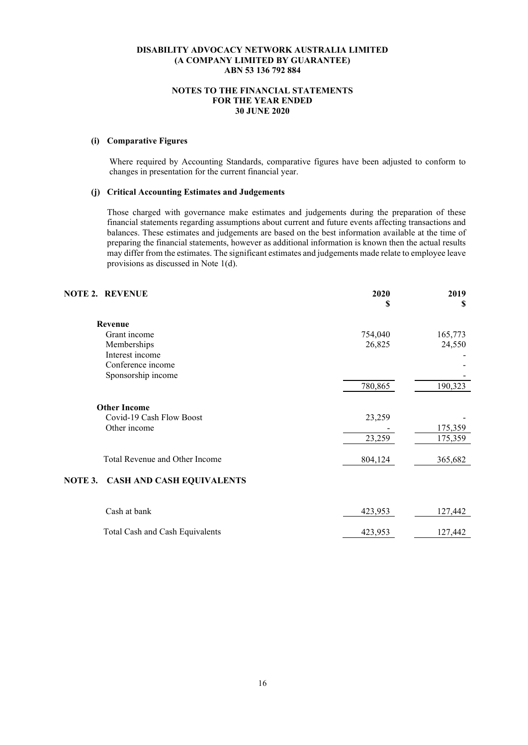## **NOTES TO THE FINANCIAL STATEMENTS FOR THE YEAR ENDED 30 JUNE 2020**

## **(i) Comparative Figures**

Where required by Accounting Standards, comparative figures have been adjusted to conform to changes in presentation for the current financial year.

## **(j) Critical Accounting Estimates and Judgements**

Those charged with governance make estimates and judgements during the preparation of these financial statements regarding assumptions about current and future events affecting transactions and balances. These estimates and judgements are based on the best information available at the time of preparing the financial statements, however as additional information is known then the actual results may differ from the estimates. The significant estimates and judgements made relate to employee leave provisions as discussed in Note 1(d).

| <b>NOTE 2. REVENUE</b> |                                  | 2020<br>S | 2019<br>S |
|------------------------|----------------------------------|-----------|-----------|
|                        | Revenue                          |           |           |
|                        | Grant income                     | 754,040   | 165,773   |
|                        | Memberships                      | 26,825    | 24,550    |
|                        | Interest income                  |           |           |
|                        | Conference income                |           |           |
|                        | Sponsorship income               |           |           |
|                        |                                  | 780,865   | 190,323   |
|                        | <b>Other Income</b>              |           |           |
|                        | Covid-19 Cash Flow Boost         | 23,259    |           |
|                        | Other income                     |           | 175,359   |
|                        |                                  | 23,259    | 175,359   |
|                        | Total Revenue and Other Income   | 804,124   | 365,682   |
| NOTE 3.                | <b>CASH AND CASH EQUIVALENTS</b> |           |           |
|                        |                                  |           |           |

| Cash at bank                    | 423.953 | 127,442 |
|---------------------------------|---------|---------|
|                                 |         |         |
| Total Cash and Cash Equivalents | 423.953 | 127.442 |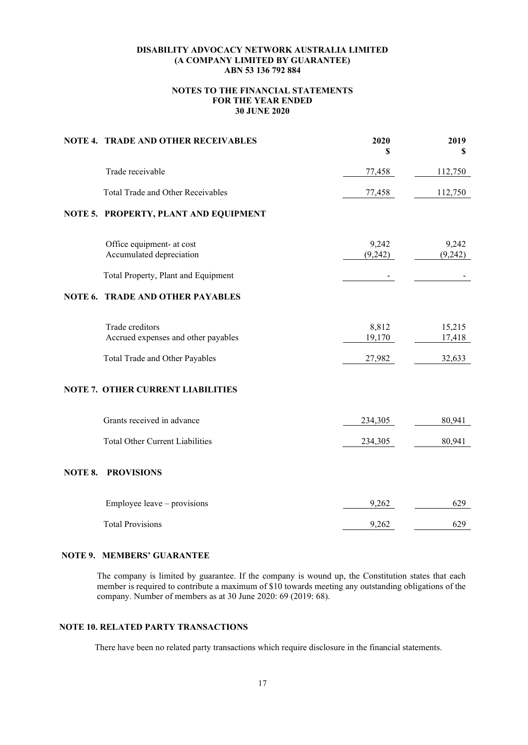## **NOTES TO THE FINANCIAL STATEMENTS FOR THE YEAR ENDED 30 JUNE 2020**

|         | NOTE 4. TRADE AND OTHER RECEIVABLES                    | 2020<br>\$       | 2019<br>\$       |
|---------|--------------------------------------------------------|------------------|------------------|
|         | Trade receivable                                       | 77,458           | 112,750          |
|         | Total Trade and Other Receivables                      | 77,458           | 112,750          |
|         | NOTE 5. PROPERTY, PLANT AND EQUIPMENT                  |                  |                  |
|         | Office equipment- at cost<br>Accumulated depreciation  | 9,242<br>(9,242) | 9,242<br>(9,242) |
|         | Total Property, Plant and Equipment                    |                  |                  |
| NOTE 6. | <b>TRADE AND OTHER PAYABLES</b>                        |                  |                  |
|         | Trade creditors<br>Accrued expenses and other payables | 8,812<br>19,170  | 15,215<br>17,418 |
|         | Total Trade and Other Payables                         | 27,982           | 32,633           |
|         | <b>NOTE 7. OTHER CURRENT LIABILITIES</b>               |                  |                  |
|         | Grants received in advance                             | 234,305          | 80,941           |
|         | <b>Total Other Current Liabilities</b>                 | 234,305          | 80,941           |
| NOTE 8. | <b>PROVISIONS</b>                                      |                  |                  |
|         | Employee leave – provisions                            | 9,262            | 629              |
|         | <b>Total Provisions</b>                                | 9,262            | 629              |

## **NOTE 9. MEMBERS' GUARANTEE**

The company is limited by guarantee. If the company is wound up, the Constitution states that each member is required to contribute a maximum of \$10 towards meeting any outstanding obligations of the company. Number of members as at 30 June 2020: 69 (2019: 68).

## **NOTE 10. RELATED PARTY TRANSACTIONS**

There have been no related party transactions which require disclosure in the financial statements.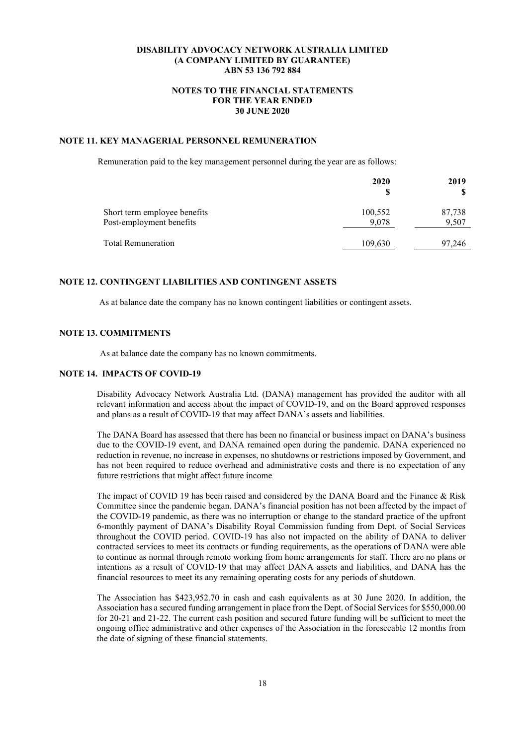## **NOTES TO THE FINANCIAL STATEMENTS FOR THE YEAR ENDED 30 JUNE 2020**

## **NOTE 11. KEY MANAGERIAL PERSONNEL REMUNERATION**

Remuneration paid to the key management personnel during the year are as follows:

|                                                          | 2020<br>S        | 2019            |
|----------------------------------------------------------|------------------|-----------------|
| Short term employee benefits<br>Post-employment benefits | 100,552<br>9,078 | 87,738<br>9,507 |
| <b>Total Remuneration</b>                                | 109,630          | 97,246          |

#### **NOTE 12. CONTINGENT LIABILITIES AND CONTINGENT ASSETS**

As at balance date the company has no known contingent liabilities or contingent assets.

## **NOTE 13. COMMITMENTS**

As at balance date the company has no known commitments.

## **NOTE 14. IMPACTS OF COVID-19**

Disability Advocacy Network Australia Ltd. (DANA) management has provided the auditor with all relevant information and access about the impact of COVID-19, and on the Board approved responses and plans as a result of COVID-19 that may affect DANA's assets and liabilities.

The DANA Board has assessed that there has been no financial or business impact on DANA's business due to the COVID-19 event, and DANA remained open during the pandemic. DANA experienced no reduction in revenue, no increase in expenses, no shutdowns or restrictions imposed by Government, and has not been required to reduce overhead and administrative costs and there is no expectation of any future restrictions that might affect future income

The impact of COVID 19 has been raised and considered by the DANA Board and the Finance & Risk Committee since the pandemic began. DANA's financial position has not been affected by the impact of the COVID-19 pandemic, as there was no interruption or change to the standard practice of the upfront 6-monthly payment of DANA's Disability Royal Commission funding from Dept. of Social Services throughout the COVID period. COVID-19 has also not impacted on the ability of DANA to deliver contracted services to meet its contracts or funding requirements, as the operations of DANA were able to continue as normal through remote working from home arrangements for staff. There are no plans or intentions as a result of COVID-19 that may affect DANA assets and liabilities, and DANA has the financial resources to meet its any remaining operating costs for any periods of shutdown.

The Association has \$423,952.70 in cash and cash equivalents as at 30 June 2020. In addition, the Association has a secured funding arrangement in place from the Dept. of Social Services for \$550,000.00 for 20-21 and 21-22. The current cash position and secured future funding will be sufficient to meet the ongoing office administrative and other expenses of the Association in the foreseeable 12 months from the date of signing of these financial statements.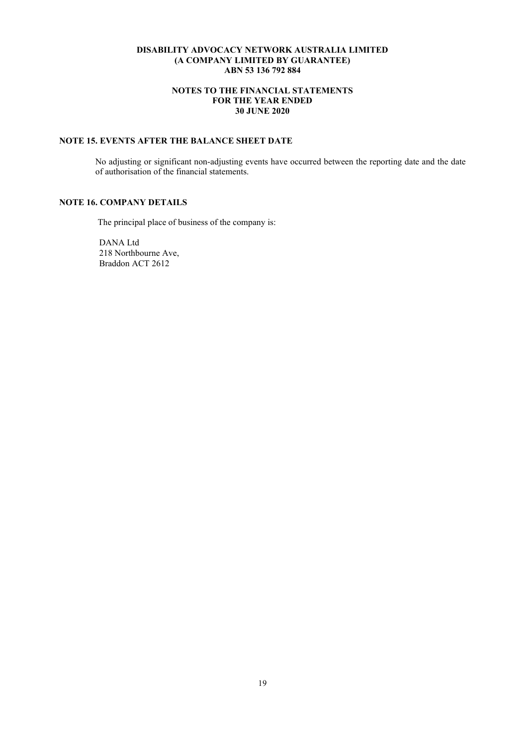## **NOTES TO THE FINANCIAL STATEMENTS FOR THE YEAR ENDED 30 JUNE 2020**

## **NOTE 15. EVENTS AFTER THE BALANCE SHEET DATE**

No adjusting or significant non-adjusting events have occurred between the reporting date and the date of authorisation of the financial statements.

## **NOTE 16. COMPANY DETAILS**

The principal place of business of the company is:

 DANA Ltd 218 Northbourne Ave, Braddon ACT 2612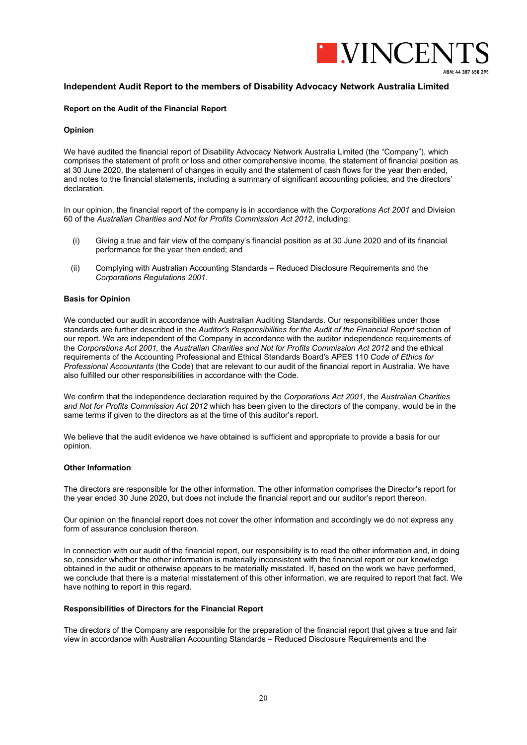

## **Independent Audit Report to the members of Disability Advocacy Network Australia Limited**

#### **Report on the Audit of the Financial Report**

#### **Opinion**

We have audited the financial report of Disability Advocacy Network Australia Limited (the "Company"), which comprises the statement of profit or loss and other comprehensive income, the statement of financial position as at 30 June 2020, the statement of changes in equity and the statement of cash flows for the year then ended, and notes to the financial statements, including a summary of significant accounting policies, and the directors' declaration.

In our opinion, the financial report of the company is in accordance with the *Corporations Act 2001* and Division 60 of the *Australian Charities and Not for Profits Commission Act 2012*, including:

- (i) Giving a true and fair view of the company's financial position as at 30 June 2020 and of its financial performance for the year then ended; and
- (ii) Complying with Australian Accounting Standards Reduced Disclosure Requirements and the *Corporations Regulations 2001.*

#### **Basis for Opinion**

We conducted our audit in accordance with Australian Auditing Standards. Our responsibilities under those standards are further described in the *Auditor's Responsibilities for the Audit of the Financial Report* section of our report. We are independent of the Company in accordance with the auditor independence requirements of the *Corporations Act 2001,* the *Australian Charities and Not for Profits Commission Act 2012* and the ethical requirements of the Accounting Professional and Ethical Standards Board's APES 110 *Code of Ethics for Professional Accountants* (the Code) that are relevant to our audit of the financial report in Australia. We have also fulfilled our other responsibilities in accordance with the Code.

We confirm that the independence declaration required by the *Corporations Act 2001*, the *Australian Charities and Not for Profits Commission Act 2012* which has been given to the directors of the company, would be in the same terms if given to the directors as at the time of this auditor's report.

We believe that the audit evidence we have obtained is sufficient and appropriate to provide a basis for our opinion.

#### **Other Information**

The directors are responsible for the other information. The other information comprises the Director's report for the year ended 30 June 2020, but does not include the financial report and our auditor's report thereon.

Our opinion on the financial report does not cover the other information and accordingly we do not express any form of assurance conclusion thereon.

In connection with our audit of the financial report, our responsibility is to read the other information and, in doing so, consider whether the other information is materially inconsistent with the financial report or our knowledge obtained in the audit or otherwise appears to be materially misstated. If, based on the work we have performed, we conclude that there is a material misstatement of this other information, we are required to report that fact. We have nothing to report in this regard.

#### **Responsibilities of Directors for the Financial Report**

The directors of the Company are responsible for the preparation of the financial report that gives a true and fair view in accordance with Australian Accounting Standards – Reduced Disclosure Requirements and the